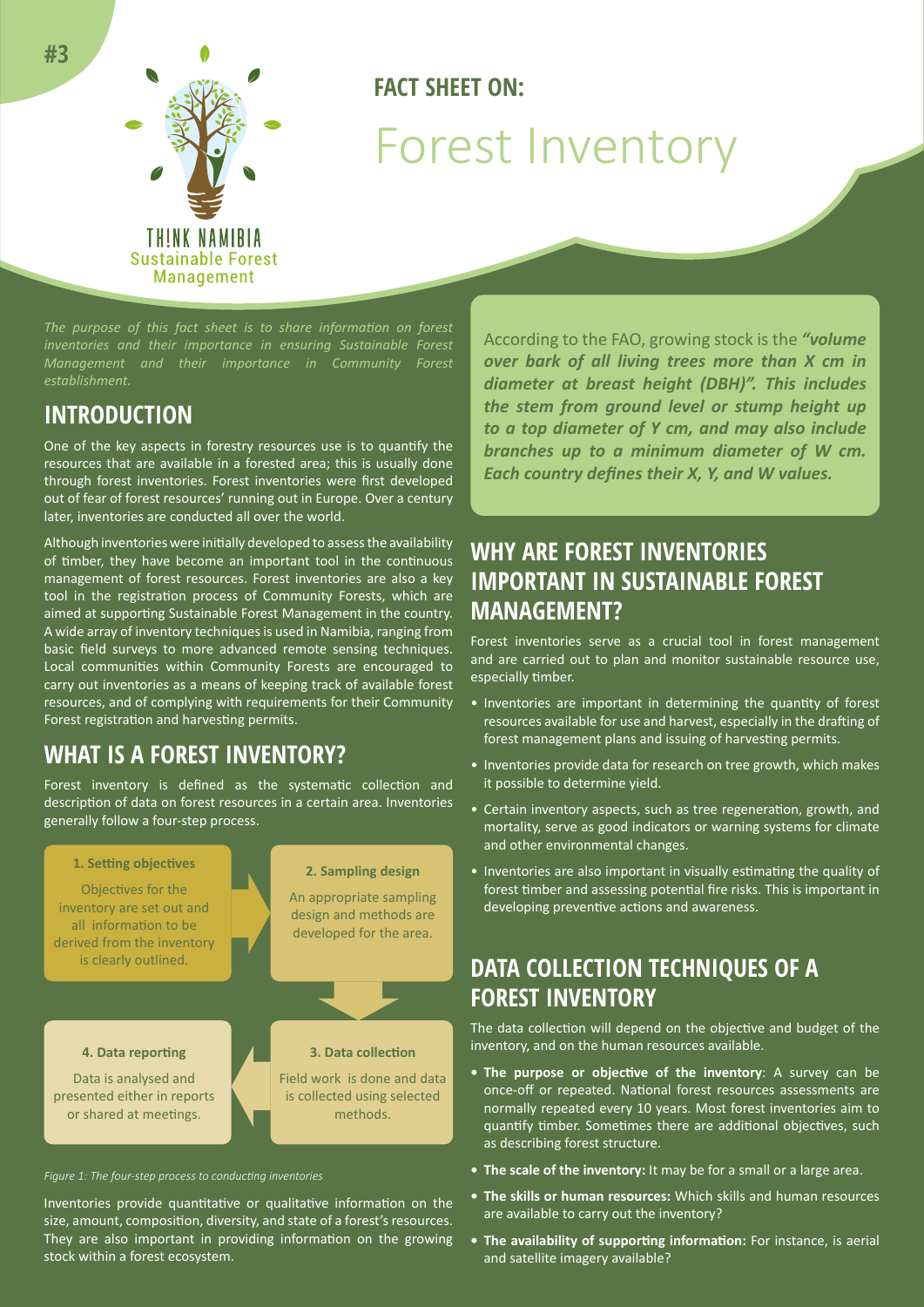

# **FACT SHEET ON:** Forest Inventory

*The purpose of this fact sheet is to share information on forest inventories and their importance in ensuring Sustainable Forest Management and their importance in Community Forest establishment.*

### **INTRODUCTION**

One of the key aspects in forestry resources use is to quantify the resources that are available in a forested area; this is usually done through forest inventories. Forest inventories were first developed out of fear of forest resources' running out in Europe. Over a century later, inventories are conducted all over the world.

Although inventories were initially developed to assess the availability of timber, they have become an important tool in the continuous management of forest resources. Forest inventories are also a key tool in the registration process of Community Forests, which are aimed at supporting Sustainable Forest Management in the country. A wide array of inventory techniques is used in Namibia, ranging from basic field surveys to more advanced remote sensing techniques. Local communities within Community Forests are encouraged to carry out inventories as a means of keeping track of available forest resources, and of complying with requirements for their Community Forest registration and harvesting permits.

## **WHAT IS A FOREST INVENTORY?**

Forest inventory is defined as the systematic collection and description of data on forest resources in a certain area. Inventories generally follow a four-step process.



#### *Figure 1: The four-step process to conducting inventories*

Inventories provide quantitative or qualitative information on the size, amount, composition, diversity, and state of a forest's resources. They are also important in providing information on the growing stock within a forest ecosystem.

According to the FAO, growing stock is the *"volume over bark of all living trees more than X cm in diameter at breast height (DBH)". This includes the stem from ground level or stump height up to a top diameter of Y cm, and may also include branches up to a minimum diameter of W cm. Each country defines their X, Y, and W values.*

## **WHY ARE FOREST INVENTORIES IMPORTANT IN SUSTAINABLE FOREST MANAGEMENT?**

Forest inventories serve as a crucial tool in forest management and are carried out to plan and monitor sustainable resource use, especially timber.

- Inventories are important in determining the quantity of forest resources available for use and harvest, especially in the drafting of forest management plans and issuing of harvesting permits.
- Inventories provide data for research on tree growth, which makes it possible to determine yield.
- Certain inventory aspects, such as tree regeneration, growth, and mortality, serve as good indicators or warning systems for climate and other environmental changes.
- Inventories are also important in visually estimating the quality of forest timber and assessing potential fire risks. This is important in developing preventive actions and awareness.

# **DATA COLLECTION TECHNIQUES OF A FOREST INVENTORY**

The data collection will depend on the objective and budget of the inventory, and on the human resources available.

- **• The purpose or objective of the inventory**: A survey can be once-off or repeated. National forest resources assessments are normally repeated every 10 years. Most forest inventories aim to quantify timber. Sometimes there are additional objectives, such as describing forest structure.
- **• The scale of the inventory:** It may be for a small or a large area.
- **• The skills or human resources:** Which skills and human resources are available to carry out the inventory?
- **• The availability of supporting information:** For instance, is aerial and satellite imagery available?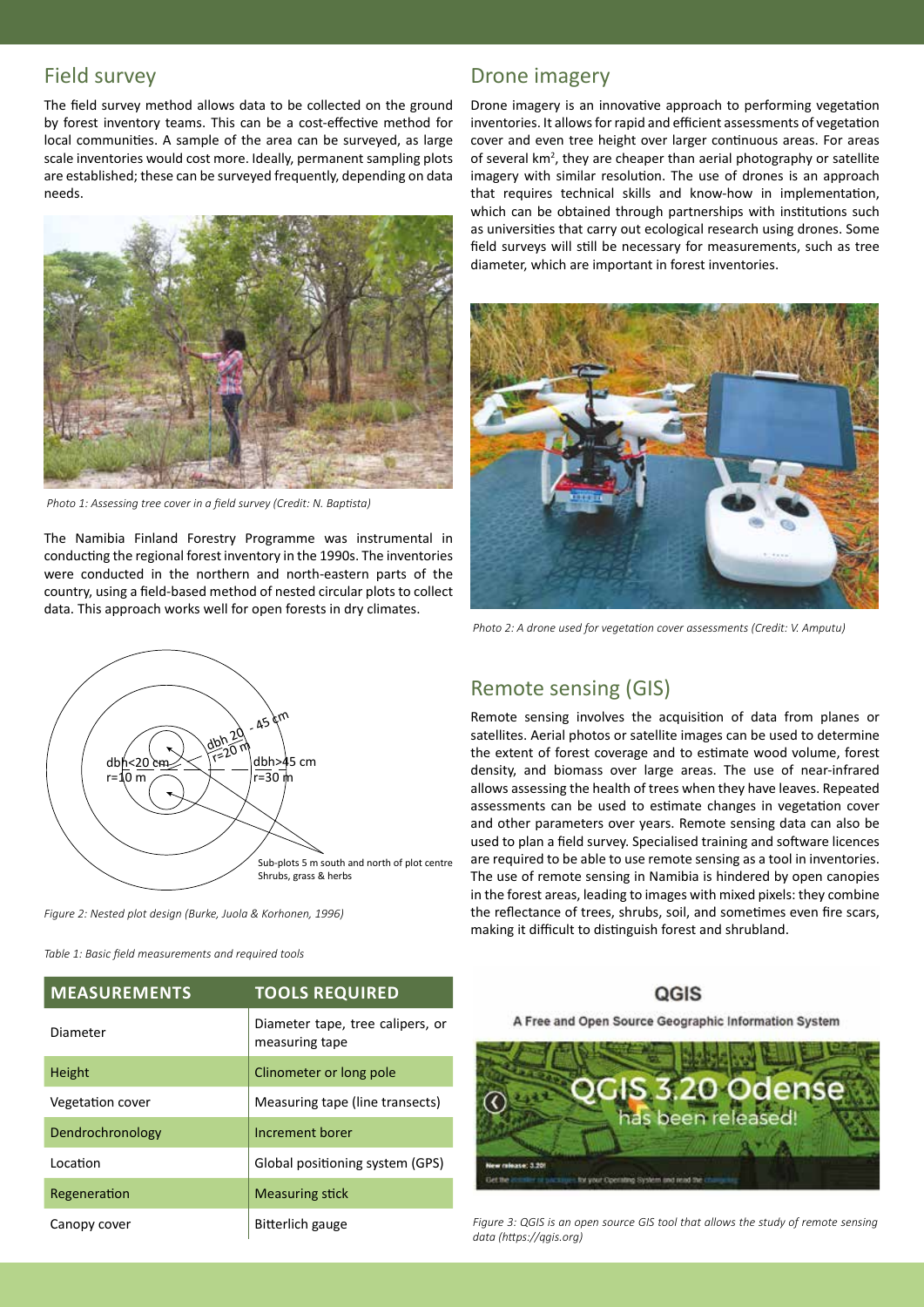### Field survey

The field survey method allows data to be collected on the ground by forest inventory teams. This can be a cost-effective method for local communities. A sample of the area can be surveyed, as large scale inventories would cost more. Ideally, permanent sampling plots are established; these can be surveyed frequently, depending on data needs.



 *Photo 1: Assessing tree cover in a field survey (Credit: N. Baptista)*

The Namibia Finland Forestry Programme was instrumental in conducting the regional forest inventory in the 1990s. The inventories were conducted in the northern and north-eastern parts of the country, using a field-based method of nested circular plots to collect data. This approach works well for open forests in dry climates.



*Figure 2: Nested plot design (Burke, Juola & Korhonen, 1996)*

*Table 1: Basic field measurements and required tools*

# **MEASUREMENTS TOOLS REQUIRED** Diameter Diameter tape, tree calipers, or measuring tape Height Clinometer or long pole Vegetation cover Measuring tape (line transects) Dendrochronology **Increment borer** Location **Contract Contract Contract Contract Contract Contract Contract Contract Contract Contract Contract Co** Regeneration Measuring stick Canopy cover **Bitterlich gauge**

### Drone imagery

Drone imagery is an innovative approach to performing vegetation inventories. It allows for rapid and efficient assessments of vegetation cover and even tree height over larger continuous areas. For areas of several km<sup>2</sup>, they are cheaper than aerial photography or satellite imagery with similar resolution. The use of drones is an approach that requires technical skills and know-how in implementation, which can be obtained through partnerships with institutions such as universities that carry out ecological research using drones. Some field surveys will still be necessary for measurements, such as tree diameter, which are important in forest inventories.



*Photo 2: A drone used for vegetation cover assessments (Credit: V. Amputu)*

### Remote sensing (GIS)

Remote sensing involves the acquisition of data from planes or satellites. Aerial photos or satellite images can be used to determine the extent of forest coverage and to estimate wood volume, forest density, and biomass over large areas. The use of near-infrared allows assessing the health of trees when they have leaves. Repeated assessments can be used to estimate changes in vegetation cover and other parameters over years. Remote sensing data can also be used to plan a field survey. Specialised training and software licences are required to be able to use remote sensing as a tool in inventories. The use of remote sensing in Namibia is hindered by open canopies in the forest areas, leading to images with mixed pixels: they combine the reflectance of trees, shrubs, soil, and sometimes even fire scars, making it difficult to distinguish forest and shrubland.

### QGIS

A Free and Open Source Geographic Information System



*Figure 3: QGIS is an open source GIS tool that allows the study of remote sensing data (https://qgis.org)*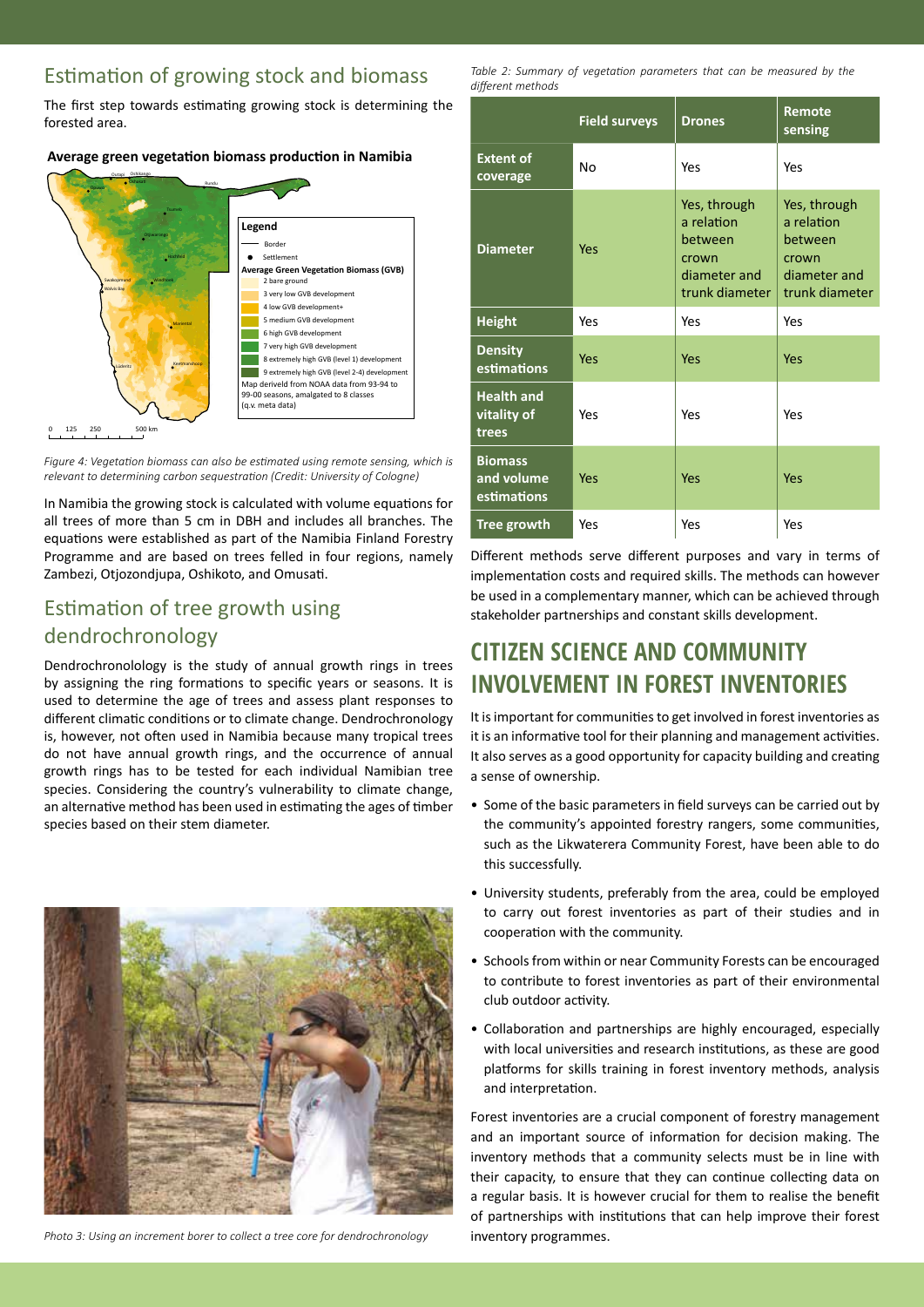### Estimation of growing stock and biomass

The first step towards estimating growing stock is determining the forested area.

### Average green vegetation biomass production in Namibia



*Figure 4: Vegetation biomass can also be estimated using remote sensing, which is relevant to determining carbon sequestration (Credit: University of Cologne)*

In Namibia the growing stock is calculated with volume equations for all trees of more than 5 cm in DBH and includes all branches. The equations were established as part of the Namibia Finland Forestry Programme and are based on trees felled in four regions, namely Zambezi, Otjozondjupa, Oshikoto, and Omusati.

### Estimation of tree growth using dendrochronology

Dendrochronolology is the study of annual growth rings in trees by assigning the ring formations to specific years or seasons. It is used to determine the age of trees and assess plant responses to different climatic conditions or to climate change. Dendrochronology is, however, not often used in Namibia because many tropical trees do not have annual growth rings, and the occurrence of annual growth rings has to be tested for each individual Namibian tree species. Considering the country's vulnerability to climate change, an alternative method has been used in estimating the ages of timber species based on their stem diameter.



*Photo 3: Using an increment borer to collect a tree core for dendrochronology*

*Table 2: Summary of vegetation parameters that can be measured by the different methods*

|                                             | <b>Field surveys</b> | <b>Drones</b>                                                                    | Remote<br>sensing                                                                |
|---------------------------------------------|----------------------|----------------------------------------------------------------------------------|----------------------------------------------------------------------------------|
| <b>Extent of</b><br>coverage                | Nο                   | Yes                                                                              | Yes                                                                              |
| <b>Diameter</b>                             | Yes                  | Yes, through<br>a relation<br>between<br>crown<br>diameter and<br>trunk diameter | Yes, through<br>a relation<br>between<br>crown<br>diameter and<br>trunk diameter |
| <b>Height</b>                               | Yes                  | Yes                                                                              | Yes                                                                              |
| <b>Density</b><br>estimations               | Yes                  | Yes                                                                              | Yes                                                                              |
| <b>Health and</b><br>vitality of<br>trees   | Yes                  | Yes                                                                              | Yes                                                                              |
| <b>Biomass</b><br>and volume<br>estimations | Yes                  | Yes                                                                              | Yes                                                                              |
| <b>Tree growth</b>                          | Yes                  | Yes                                                                              | Yes                                                                              |

Different methods serve different purposes and vary in terms of implementation costs and required skills. The methods can however be used in a complementary manner, which can be achieved through stakeholder partnerships and constant skills development.

# **CITIZEN SCIENCE AND COMMUNITY INVOLVEMENT IN FOREST INVENTORIES**

It is important for communities to get involved in forest inventories as it is an informative tool for their planning and management activities. It also serves as a good opportunity for capacity building and creating a sense of ownership.

- Some of the basic parameters in field surveys can be carried out by the community's appointed forestry rangers, some communities, such as the Likwaterera Community Forest, have been able to do this successfully.
- University students, preferably from the area, could be employed to carry out forest inventories as part of their studies and in cooperation with the community.
- Schools from within or near Community Forests can be encouraged to contribute to forest inventories as part of their environmental club outdoor activity.
- Collaboration and partnerships are highly encouraged, especially with local universities and research institutions, as these are good platforms for skills training in forest inventory methods, analysis and interpretation.

Forest inventories are a crucial component of forestry management and an important source of information for decision making. The inventory methods that a community selects must be in line with their capacity, to ensure that they can continue collecting data on a regular basis. It is however crucial for them to realise the benefit of partnerships with institutions that can help improve their forest inventory programmes.